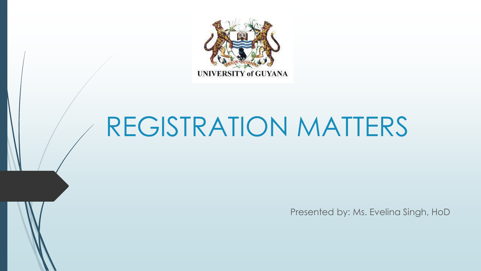

# REGISTRATION MATTERS

Presented by: Ms. Evelina Singh, HoD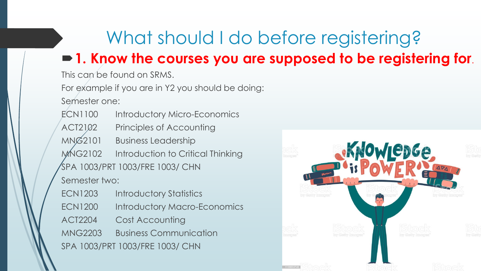## What should I do before registering?

### **1. Know the courses you are supposed to be registering for**.

This can be found on SRMS.

For example if you are in Y2 you should be doing:

Semester one:

ECN1100 Introductory Micro-Economics ACT2102 Principles of Accounting MNG2101 Business Leadership MNG2102 Introduction to Critical Thinking SPA 1003/PRT 1003/FRE 1003/ CHN Semester two: ECN1203 Introductory Statistics ECN1200 Introductory Macro-Economics ACT2204 Cost Accounting MNG2203 Business Communication

SPA 1003/PRT 1003/FRE 1003/ CHN

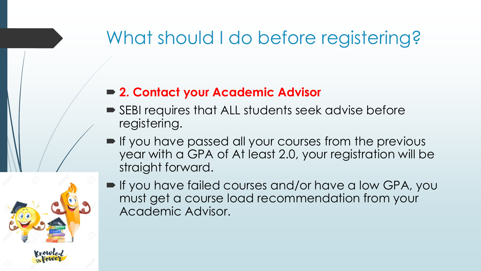## What should I do before registering?

#### **2. Contact your Academic Advisor**

- SEBI requires that ALL students seek advise before registering.
- **If you have passed all your courses from the previous** year with a GPA of At least 2.0, your registration will be straight forward.
- If you have failed courses and/or have a low GPA, you must get a course load recommendation from your Academic Advisor.

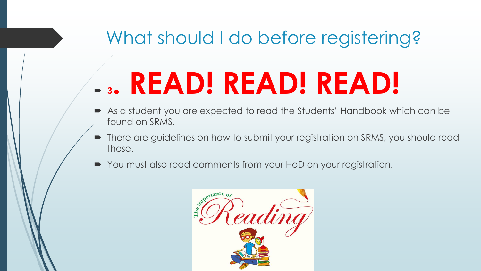## What should I do before registering?

# **<sup>3</sup>. READ! READ! READ!**

- As a student you are expected to read the Students' Handbook which can be found on SRMS.
- There are guidelines on how to submit your registration on SRMS, you should read these.
- You must also read comments from your HoD on your registration.

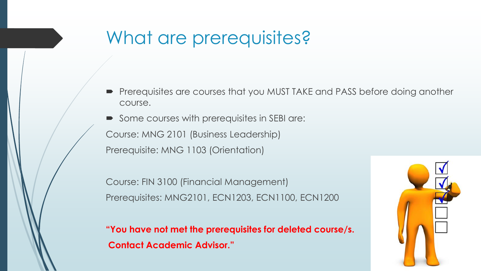## What are prerequisites?

**Prerequisites are courses that you MUST TAKE and PASS before doing another** course.

Some courses with prerequisites in SEBI are: Course: MNG 2101 (Business Leadership) Prerequisite: MNG 1103 (Orientation)

Course: FIN 3100 (Financial Management) Prerequisites: MNG2101, ECN1203, ECN1100, ECN1200

**"You have not met the prerequisites for deleted course/s. Contact Academic Advisor."**

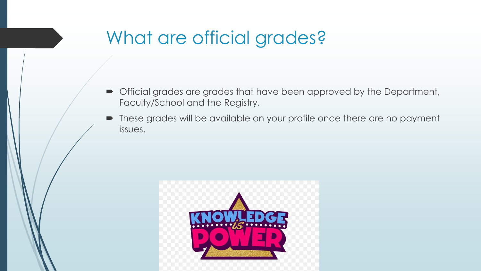## What are official grades?

- Official grades are grades that have been approved by the Department, Faculty/School and the Registry.
- These grades will be available on your profile once there are no payment issues.

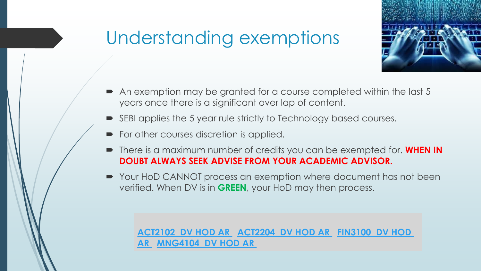## Understanding exemptions



- An exemption may be granted for a course completed within the last 5 years once there is a significant over lap of content.
- SEBI applies the 5 year rule strictly to Technology based courses.
- For other courses discretion is applied.
- There is a maximum number of credits you can be exempted for. **WHEN IN DOUBT ALWAYS SEEK ADVISE FROM YOUR ACADEMIC ADVISOR.**
- Your HoD CANNOT process an exemption where document has not been verified. When DV is in **GREEN**, your HoD may then process.

**[ACT2102](https://turkeyenonline.uog.edu.gy/srms/staff/faculty_hod/current/exmpt_courses.php?ID=362) DV HOD AR [ACT2204](https://turkeyenonline.uog.edu.gy/srms/staff/faculty_hod/current/exmpt_courses.php?ID=363) DV HOD AR FIN3100 DV HOD AR [MNG4104](https://turkeyenonline.uog.edu.gy/srms/staff/faculty_hod/current/exmpt_courses.php?ID=364) DV HOD AR**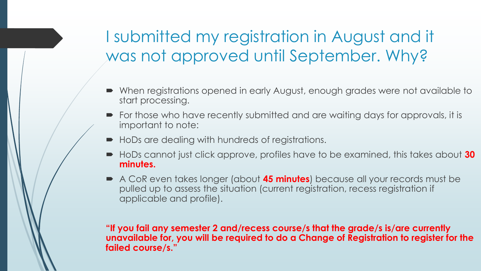### I submitted my registration in August and it was not approved until September. Why?

- When registrations opened in early August, enough grades were not available to start processing.
- For those who have recently submitted and are waiting days for approvals, it is important to note:
- $\blacksquare$  HoDs are dealing with hundreds of registrations.
- HoDs cannot just click approve, profiles have to be examined, this takes about 30 **minutes.**
- A CoR even takes longer (about **45 minutes**) because all your records must be pulled up to assess the situation (current registration, recess registration if applicable and profile).

**"If you fail any semester 2 and/recess course/s that the grade/s is/are currently unavailable for, you will be required to do a Change of Registration to register for the failed course/s."**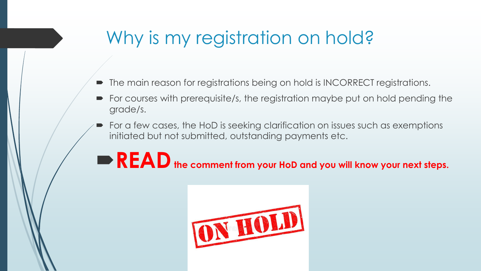## Why is my registration on hold?

- The main reason for registrations being on hold is INCORRECT registrations.
- For courses with prerequisite/s, the registration maybe put on hold pending the grade/s.
- For a few cases, the HoD is seeking clarification on issues such as exemptions initiated but not submitted, outstanding payments etc.

## **READthe comment from your HoD and you will know your next steps.**

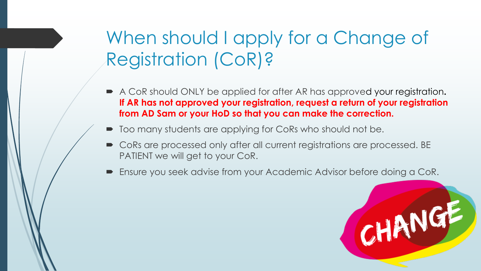## When should I apply for a Change of Registration (CoR)?

- A CoR should ONLY be applied for after AR has approved your registration**. If AR has not approved your registration, request a return of your registration from AD Sam or your HoD so that you can make the correction.**
- $\blacksquare$  Too many students are applying for CoRs who should not be.
- CoRs are processed only after all current registrations are processed. BE PATIENT we will get to your CoR.
- Ensure you seek advise from your Academic Advisor before doing a CoR.

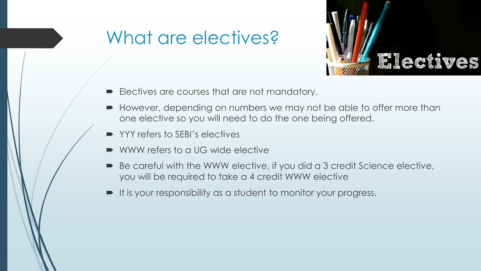## What are electives?



- **Electives are courses that are not mandatory.**
- However, depending on numbers we may not be able to offer more than one elective so you will need to do the one being offered.
- YYY refers to SEBI's electives
- WWW refers to a UG wide elective
- Be careful with the WWW elective, if you did a 3 credit Science elective, you will be required to take a 4 credit WWW elective
- It is your responsibility as a student to monitor your progress.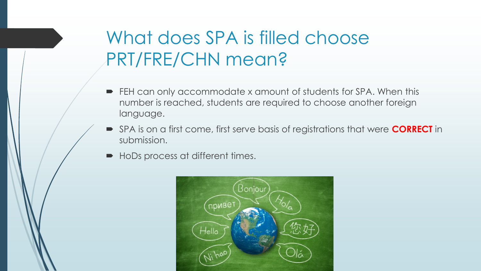## What does SPA is filled choose PRT/FRE/CHN mean?

- FEH can only accommodate x amount of students for SPA. When this number is reached, students are required to choose another foreign language.
- SPA is on a first come, first serve basis of registrations that were **CORRECT** in submission.
- HoDs process at different times.

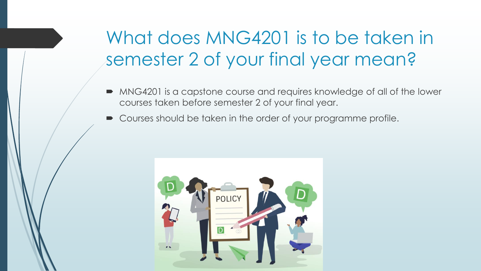## What does MNG4201 is to be taken in semester 2 of your final year mean?

- MNG4201 is a capstone course and requires knowledge of all of the lower courses taken before semester 2 of your final year.
- Courses should be taken in the order of your programme profile.

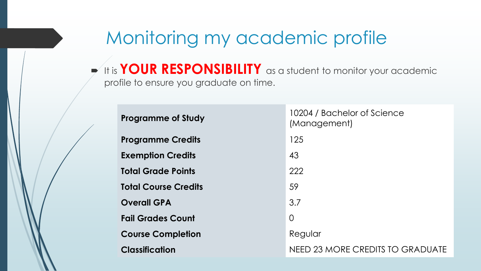## Monitoring my academic profile

 $\blacktriangleright$  It is YOUR RESPONSIBILITY as a student to monitor your academic profile to ensure you graduate on time.

| <b>Programme of Study</b>   | 10204 / Bachelor of Science<br>(Management) |
|-----------------------------|---------------------------------------------|
| <b>Programme Credits</b>    | 125                                         |
| <b>Exemption Credits</b>    | 43                                          |
| <b>Total Grade Points</b>   | 222                                         |
| <b>Total Course Credits</b> | 59                                          |
| <b>Overall GPA</b>          | 3.7                                         |
| <b>Fail Grades Count</b>    | $\Omega$                                    |
| <b>Course Completion</b>    | Regular                                     |
| <b>Classification</b>       | <b>NEED 23 MORE CREDITS TO GRADUATE</b>     |